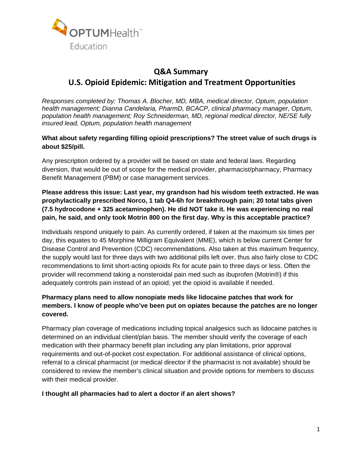

# **Q&A Summary U.S. Opioid Epidemic: Mitigation and Treatment Opportunities**

*Responses completed by: Thomas A. Blocher, MD, MBA, medical director, Optum, population health management; Dianna Candelaria, PharmD, BCACP, clinical pharmacy manager, Optum, population health management; Roy Schneiderman, MD, regional medical director, NE/SE fully insured lead, Optum, population health management* 

**What about safety regarding filling opioid prescriptions? The street value of such drugs is about \$25/pill.** 

Any prescription ordered by a provider will be based on state and federal laws. Regarding diversion, that would be out of scope for the medical provider, pharmacist/pharmacy, Pharmacy Benefit Management (PBM) or case management services.

**Please address this issue: Last year, my grandson had his wisdom teeth extracted. He was prophylactically prescribed Norco, 1 tab Q4-6h for breakthrough pain; 20 total tabs given (7.5 hydrocodone + 325 acetaminophen). He did NOT take it. He was experiencing no real pain, he said, and only took Motrin 800 on the first day. Why is this acceptable practice?** 

Individuals respond uniquely to pain. As currently ordered, if taken at the maximum six times per day, this equates to 45 Morphine Milligram Equivalent (MME), which is below current Center for Disease Control and Prevention (CDC) recommendations. Also taken at this maximum frequency, the supply would last for three days with two additional pills left over, thus also fairly close to CDC recommendations to limit short-acting opioids Rx for acute pain to three days or less. Often the provider will recommend taking a nonsteroidal pain med such as ibuprofen (Motrin®) if this adequately controls pain instead of an opioid; yet the opioid is available if needed.

# **Pharmacy plans need to allow nonopiate meds like lidocaine patches that work for members. I know of people who've been put on opiates because the patches are no longer covered.**

Pharmacy plan coverage of medications including topical analgesics such as lidocaine patches is determined on an individual client/plan basis. The member should verify the coverage of each medication with their pharmacy benefit plan including any plan limitations, prior approval requirements and out-of-pocket cost expectation. For additional assistance of clinical options, referral to a clinical pharmacist (or medical director if the pharmacist is not available) should be considered to review the member's clinical situation and provide options for members to discuss with their medical provider.

#### **I thought all pharmacies had to alert a doctor if an alert shows?**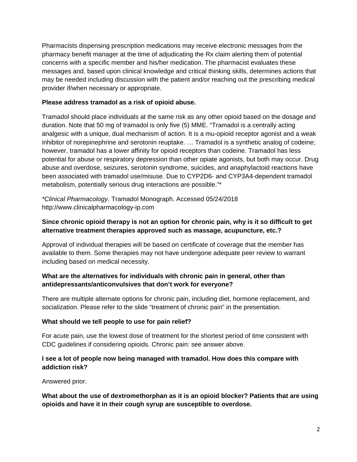Pharmacists dispensing prescription medications may receive electronic messages from the pharmacy benefit manager at the time of adjudicating the Rx claim alerting them of potential concerns with a specific member and his/her medication. The pharmacist evaluates these messages and, based upon clinical knowledge and critical thinking skills, determines actions that may be needed including discussion with the patient and/or reaching out the prescribing medical provider if/when necessary or appropriate.

# **Please address tramadol as a risk of opioid abuse.**

Tramadol should place individuals at the same risk as any other opioid based on the dosage and duration. Note that 50 mg of tramadol is only five (5) MME. "Tramadol is a centrally acting analgesic with a unique, dual mechanism of action. It is a mu-opioid receptor agonist and a weak inhibitor of norepinephrine and serotonin reuptake. … Tramadol is a synthetic analog of codeine; however, tramadol has a lower affinity for opioid receptors than codeine. Tramadol has less potential for abuse or respiratory depression than other opiate agonists, but both may occur. Drug abuse and overdose, seizures, serotonin syndrome, suicides, and anaphylactoid reactions have been associated with tramadol use/misuse. Due to CYP2D6- and CYP3A4-dependent tramadol metabolism, potentially serious drug interactions are possible."\*

*\*Clinical Pharmacology*. Tramadol Monograph. Accessed 05/24/2018 http://www.clinicalpharmacology-ip.com

# **Since chronic opioid therapy is not an option for chronic pain, why is it so difficult to get alternative treatment therapies approved such as massage, acupuncture, etc.?**

Approval of individual therapies will be based on certificate of coverage that the member has available to them. Some therapies may not have undergone adequate peer review to warrant including based on medical necessity.

# **What are the alternatives for individuals with chronic pain in general, other than antidepressants/anticonvulsives that don't work for everyone?**

There are multiple alternate options for chronic pain, including diet, hormone replacement, and socialization. Please refer to the slide "treatment of chronic pain" in the presentation.

#### **What should we tell people to use for pain relief?**

For acute pain, use the lowest dose of treatment for the shortest period of time consistent with CDC guidelines if considering opioids. Chronic pain: see answer above.

# **I see a lot of people now being managed with tramadol. How does this compare with addiction risk?**

Answered prior.

**What about the use of dextromethorphan as it is an opioid blocker? Patients that are using opioids and have it in their cough syrup are susceptible to overdose.**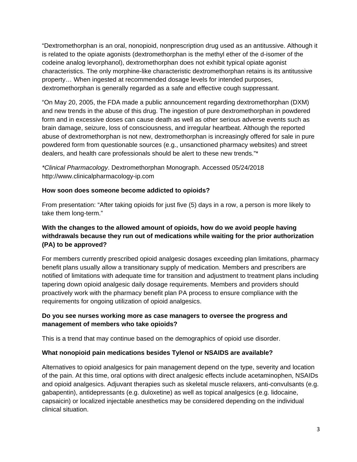"Dextromethorphan is an oral, nonopioid, nonprescription drug used as an antitussive. Although it is related to the opiate agonists (dextromethorphan is the methyl ether of the d-isomer of the codeine analog levorphanol), dextromethorphan does not exhibit typical opiate agonist characteristics. The only morphine-like characteristic dextromethorphan retains is its antitussive property… When ingested at recommended dosage levels for intended purposes, dextromethorphan is generally regarded as a safe and effective cough suppressant.

"On May 20, 2005, the FDA made a public announcement regarding dextromethorphan (DXM) and new trends in the abuse of this drug. The ingestion of pure dextromethorphan in powdered form and in excessive doses can cause death as well as other serious adverse events such as brain damage, seizure, loss of consciousness, and irregular heartbeat. Although the reported abuse of dextromethorphan is not new, dextromethorphan is increasingly offered for sale in pure powdered form from questionable sources (e.g., unsanctioned pharmacy websites) and street dealers, and health care professionals should be alert to these new trends."\*

*\*Clinical Pharmacology*. Dextromethorphan Monograph. Accessed 05/24/2018 http://www.clinicalpharmacology-ip.com

#### **How soon does someone become addicted to opioids?**

From presentation: "After taking opioids for just five (5) days in a row, a person is more likely to take them long-term."

# **With the changes to the allowed amount of opioids, how do we avoid people having withdrawals because they run out of medications while waiting for the prior authorization (PA) to be approved?**

For members currently prescribed opioid analgesic dosages exceeding plan limitations, pharmacy benefit plans usually allow a transitionary supply of medication. Members and prescribers are notified of limitations with adequate time for transition and adjustment to treatment plans including tapering down opioid analgesic daily dosage requirements. Members and providers should proactively work with the pharmacy benefit plan PA process to ensure compliance with the requirements for ongoing utilization of opioid analgesics.

# **Do you see nurses working more as case managers to oversee the progress and management of members who take opioids?**

This is a trend that may continue based on the demographics of opioid use disorder.

# **What nonopioid pain medications besides Tylenol or NSAIDS are available?**

Alternatives to opioid analgesics for pain management depend on the type, severity and location of the pain. At this time, oral options with direct analgesic effects include acetaminophen, NSAIDs and opioid analgesics. Adjuvant therapies such as skeletal muscle relaxers, anti-convulsants (e.g. gabapentin), antidepressants (e.g. duloxetine) as well as topical analgesics (e.g. lidocaine, capsaicin) or localized injectable anesthetics may be considered depending on the individual clinical situation.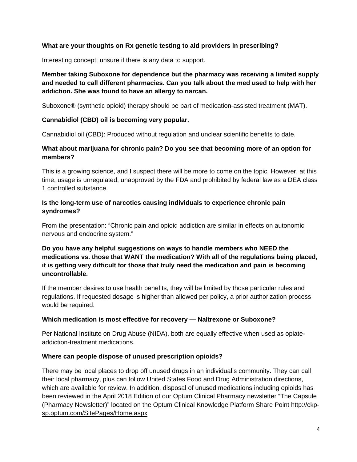#### **What are your thoughts on Rx genetic testing to aid providers in prescribing?**

Interesting concept; unsure if there is any data to support.

# **Member taking Suboxone for dependence but the pharmacy was receiving a limited supply and needed to call different pharmacies. Can you talk about the med used to help with her addiction. She was found to have an allergy to narcan.**

Suboxone® (synthetic opioid) therapy should be part of medication-assisted treatment (MAT).

#### **Cannabidiol (CBD) oil is becoming very popular.**

Cannabidiol oil (CBD): Produced without regulation and unclear scientific benefits to date.

# **What about marijuana for chronic pain? Do you see that becoming more of an option for members?**

This is a growing science, and I suspect there will be more to come on the topic. However, at this time, usage is unregulated, unapproved by the FDA and prohibited by federal law as a DEA class 1 controlled substance.

#### **Is the long-term use of narcotics causing individuals to experience chronic pain syndromes?**

From the presentation: "Chronic pain and opioid addiction are similar in effects on autonomic nervous and endocrine system."

**Do you have any helpful suggestions on ways to handle members who NEED the medications vs. those that WANT the medication? With all of the regulations being placed, it is getting very difficult for those that truly need the medication and pain is becoming uncontrollable.** 

If the member desires to use health benefits, they will be limited by those particular rules and regulations. If requested dosage is higher than allowed per policy, a prior authorization process would be required.

# **Which medication is most effective for recovery — Naltrexone or Suboxone?**

Per National Institute on Drug Abuse (NIDA), both are equally effective when used as opiateaddiction-treatment medications.

#### **Where can people dispose of unused prescription opioids?**

There may be local places to drop off unused drugs in an individual's community. They can call their local pharmacy, plus can follow United States Food and Drug Administration directions, which are available for review. In addition, disposal of unused medications including opioids has been reviewed in the April 2018 Edition of our Optum Clinical Pharmacy newsletter "The Capsule (Pharmacy Newsletter)" located on the Optum Clinical Knowledge Platform Share Point http://ckpsp.optum.com/SitePages/Home.aspx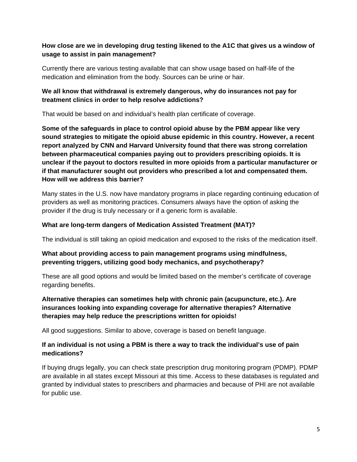# **How close are we in developing drug testing likened to the A1C that gives us a window of usage to assist in pain management?**

Currently there are various testing available that can show usage based on half-life of the medication and elimination from the body. Sources can be urine or hair.

#### **We all know that withdrawal is extremely dangerous, why do insurances not pay for treatment clinics in order to help resolve addictions?**

That would be based on and individual's health plan certificate of coverage.

**Some of the safeguards in place to control opioid abuse by the PBM appear like very sound strategies to mitigate the opioid abuse epidemic in this country. However, a recent report analyzed by CNN and Harvard University found that there was strong correlation between pharmaceutical companies paying out to providers prescribing opioids. It is unclear if the payout to doctors resulted in more opioids from a particular manufacturer or if that manufacturer sought out providers who prescribed a lot and compensated them. How will we address this barrier?** 

Many states in the U.S. now have mandatory programs in place regarding continuing education of providers as well as monitoring practices. Consumers always have the option of asking the provider if the drug is truly necessary or if a generic form is available.

#### **What are long-term dangers of Medication Assisted Treatment (MAT)?**

The individual is still taking an opioid medication and exposed to the risks of the medication itself.

#### **What about providing access to pain management programs using mindfulness, preventing triggers, utilizing good body mechanics, and psychotherapy?**

These are all good options and would be limited based on the member's certificate of coverage regarding benefits.

# **Alternative therapies can sometimes help with chronic pain (acupuncture, etc.). Are insurances looking into expanding coverage for alternative therapies? Alternative therapies may help reduce the prescriptions written for opioids!**

All good suggestions. Similar to above, coverage is based on benefit language.

#### **If an individual is not using a PBM is there a way to track the individual's use of pain medications?**

If buying drugs legally, you can check state prescription drug monitoring program (PDMP). PDMP are available in all states except Missouri at this time. Access to these databases is regulated and granted by individual states to prescribers and pharmacies and because of PHI are not available for public use.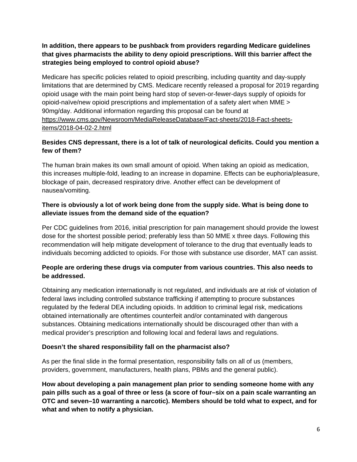# **In addition, there appears to be pushback from providers regarding Medicare guidelines that gives pharmacists the ability to deny opioid prescriptions. Will this barrier affect the strategies being employed to control opioid abuse?**

Medicare has specific policies related to opioid prescribing, including quantity and day-supply limitations that are determined by CMS. Medicare recently released a proposal for 2019 regarding opioid usage with the main point being hard stop of seven-or-fewer-days supply of opioids for opioid-naïve/new opioid prescriptions and implementation of a safety alert when MME > 90mg/day. Additional information regarding this proposal can be found at https://www.cms.gov/Newsroom/MediaReleaseDatabase/Fact-sheets/2018-Fact-sheetsitems/2018-04-02-2.html

# **Besides CNS depressant, there is a lot of talk of neurological deficits. Could you mention a few of them?**

The human brain makes its own small amount of opioid. When taking an opioid as medication, this increases multiple-fold, leading to an increase in dopamine. Effects can be euphoria/pleasure, blockage of pain, decreased respiratory drive. Another effect can be development of nausea/vomiting.

# **There is obviously a lot of work being done from the supply side. What is being done to alleviate issues from the demand side of the equation?**

Per CDC guidelines from 2016, initial prescription for pain management should provide the lowest dose for the shortest possible period; preferably less than 50 MME x three days. Following this recommendation will help mitigate development of tolerance to the drug that eventually leads to individuals becoming addicted to opioids. For those with substance use disorder, MAT can assist.

# **People are ordering these drugs via computer from various countries. This also needs to be addressed.**

Obtaining any medication internationally is not regulated, and individuals are at risk of violation of federal laws including controlled substance trafficking if attempting to procure substances regulated by the federal DEA including opioids. In addition to criminal legal risk, medications obtained internationally are oftentimes counterfeit and/or contaminated with dangerous substances. Obtaining medications internationally should be discouraged other than with a medical provider's prescription and following local and federal laws and regulations.

# **Doesn't the shared responsibility fall on the pharmacist also?**

As per the final slide in the formal presentation, responsibility falls on all of us (members, providers, government, manufacturers, health plans, PBMs and the general public).

**How about developing a pain management plan prior to sending someone home with any pain pills such as a goal of three or less (a score of four–six on a pain scale warranting an OTC and seven–10 warranting a narcotic). Members should be told what to expect, and for what and when to notify a physician.**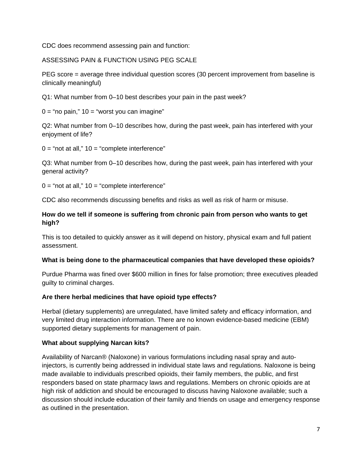CDC does recommend assessing pain and function:

ASSESSING PAIN & FUNCTION USING PEG SCALE

PEG score = average three individual question scores (30 percent improvement from baseline is clinically meaningful)

Q1: What number from 0–10 best describes your pain in the past week?

 $0 =$  "no pain,"  $10 =$  "worst you can imagine"

Q2: What number from 0–10 describes how, during the past week, pain has interfered with your enjoyment of life?

 $0 =$  "not at all,"  $10 =$  "complete interference"

Q3: What number from 0–10 describes how, during the past week, pain has interfered with your general activity?

 $0 =$  "not at all,"  $10 =$  "complete interference"

CDC also recommends discussing benefits and risks as well as risk of harm or misuse.

# **How do we tell if someone is suffering from chronic pain from person who wants to get high?**

This is too detailed to quickly answer as it will depend on history, physical exam and full patient assessment.

# **What is being done to the pharmaceutical companies that have developed these opioids?**

Purdue Pharma was fined over \$600 million in fines for false promotion; three executives pleaded guilty to criminal charges.

# **Are there herbal medicines that have opioid type effects?**

Herbal (dietary supplements) are unregulated, have limited safety and efficacy information, and very limited drug interaction information. There are no known evidence-based medicine (EBM) supported dietary supplements for management of pain.

# **What about supplying Narcan kits?**

Availability of Narcan® (Naloxone) in various formulations including nasal spray and autoinjectors, is currently being addressed in individual state laws and regulations. Naloxone is being made available to individuals prescribed opioids, their family members, the public, and first responders based on state pharmacy laws and regulations. Members on chronic opioids are at high risk of addiction and should be encouraged to discuss having Naloxone available; such a discussion should include education of their family and friends on usage and emergency response as outlined in the presentation.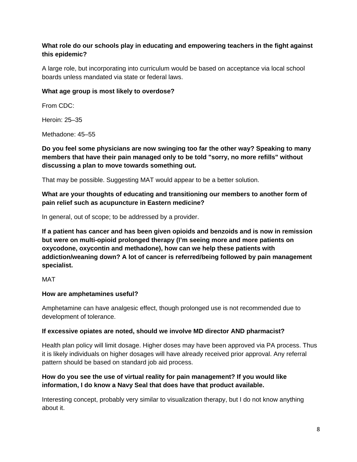# **What role do our schools play in educating and empowering teachers in the fight against this epidemic?**

A large role, but incorporating into curriculum would be based on acceptance via local school boards unless mandated via state or federal laws.

#### **What age group is most likely to overdose?**

From CDC:

Heroin: 25–35

Methadone: 45–55

**Do you feel some physicians are now swinging too far the other way? Speaking to many members that have their pain managed only to be told "sorry, no more refills" without discussing a plan to move towards something out.** 

That may be possible. Suggesting MAT would appear to be a better solution.

**What are your thoughts of educating and transitioning our members to another form of pain relief such as acupuncture in Eastern medicine?** 

In general, out of scope; to be addressed by a provider.

**If a patient has cancer and has been given opioids and benzoids and is now in remission but were on multi-opioid prolonged therapy (I'm seeing more and more patients on oxycodone, oxycontin and methadone), how can we help these patients with addiction/weaning down? A lot of cancer is referred/being followed by pain management specialist.** 

MAT

# **How are amphetamines useful?**

Amphetamine can have analgesic effect, though prolonged use is not recommended due to development of tolerance.

# **If excessive opiates are noted, should we involve MD director AND pharmacist?**

Health plan policy will limit dosage. Higher doses may have been approved via PA process. Thus it is likely individuals on higher dosages will have already received prior approval. Any referral pattern should be based on standard job aid process.

# **How do you see the use of virtual reality for pain management? If you would like information, I do know a Navy Seal that does have that product available.**

Interesting concept, probably very similar to visualization therapy, but I do not know anything about it.